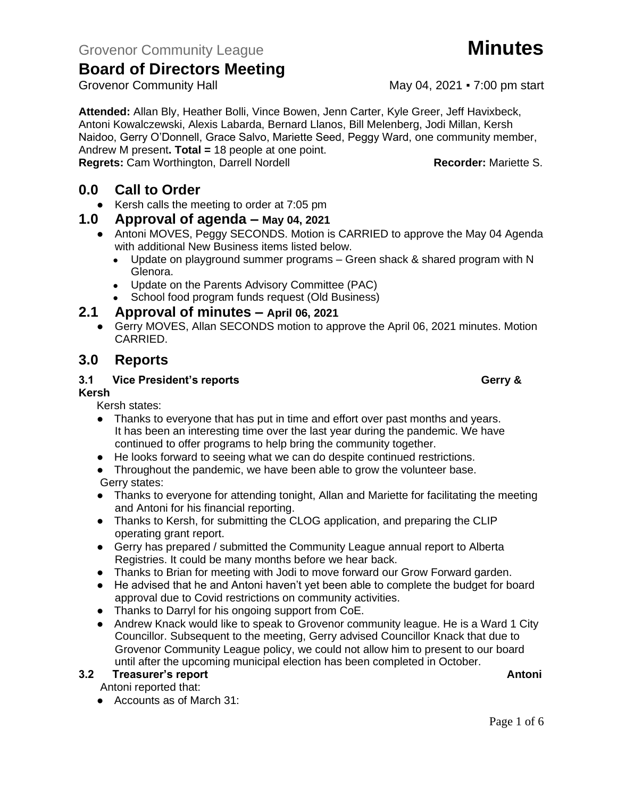**Attended:** Allan Bly, Heather Bolli, Vince Bowen, Jenn Carter, Kyle Greer, Jeff Havixbeck, Antoni Kowalczewski, Alexis Labarda, Bernard Llanos, Bill Melenberg, Jodi Millan, Kersh Naidoo, Gerry O'Donnell, Grace Salvo, Mariette Seed, Peggy Ward, one community member, Andrew M present**. Total =** 18 people at one point.

**Regrets:** Cam Worthington, Darrell Nordell **Recorder: Recorder:** Mariette S.

### **0.0 Call to Order**

● Kersh calls the meeting to order at 7:05 pm

### **1.0 Approval of agenda – May 04, 2021**

- Antoni MOVES, Peggy SECONDS. Motion is CARRIED to approve the May 04 Agenda with additional New Business items listed below.
	- Update on playground summer programs Green shack & shared program with N Glenora.
	- Update on the Parents Advisory Committee (PAC)
	- School food program funds request (Old Business)

### **2.1 Approval of minutes – April 06, 2021**

● Gerry MOVES, Allan SECONDS motion to approve the April 06, 2021 minutes. Motion CARRIED.

### **3.0 Reports**

### **3.1 Vice President's reports Gerry &**  Gerry & **Gerry &**

### **Kersh**

Kersh states:

- Thanks to everyone that has put in time and effort over past months and years. It has been an interesting time over the last year during the pandemic. We have continued to offer programs to help bring the community together.
- He looks forward to seeing what we can do despite continued restrictions.
- Throughout the pandemic, we have been able to grow the volunteer base. Gerry states:
- Thanks to everyone for attending tonight, Allan and Mariette for facilitating the meeting and Antoni for his financial reporting.
- Thanks to Kersh, for submitting the CLOG application, and preparing the CLIP operating grant report.
- Gerry has prepared / submitted the Community League annual report to Alberta Registries. It could be many months before we hear back.
- Thanks to Brian for meeting with Jodi to move forward our Grow Forward garden.
- He advised that he and Antoni haven't yet been able to complete the budget for board approval due to Covid restrictions on community activities.
- Thanks to Darryl for his ongoing support from CoE.
- Andrew Knack would like to speak to Grovenor community league. He is a Ward 1 City Councillor. Subsequent to the meeting, Gerry advised Councillor Knack that due to Grovenor Community League policy, we could not allow him to present to our board until after the upcoming municipal election has been completed in October.

### **3.2 Freasurer's report Antonic Structure Antonic Structure Antonic Antonic Antonic Antonic Antonic Antonic Antoni**

Antoni reported that:

● Accounts as of March 31:

Page 1 of 6

Grovenor Community Hall May 04, 2021 • 7:00 pm start

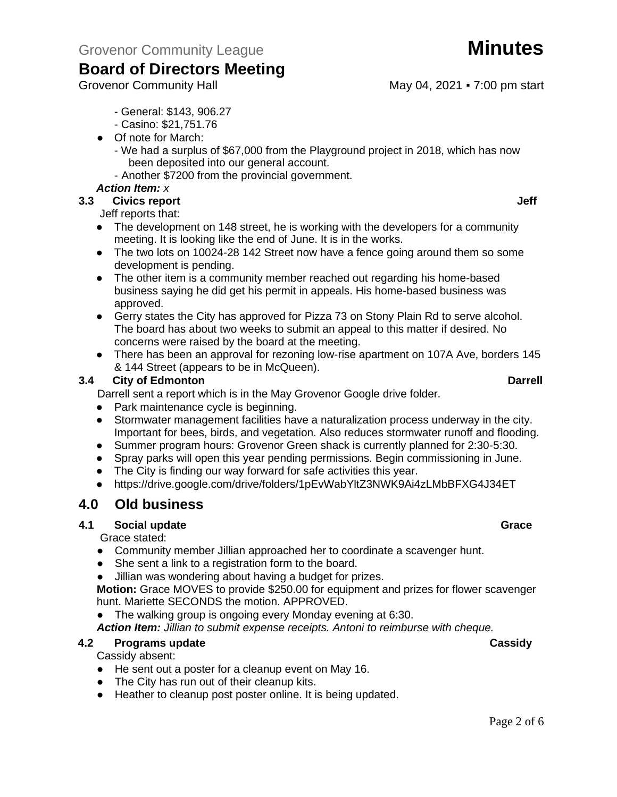Grovenor Community Hall May 04, 2021 • 7:00 pm start

- General: \$143, 906.27
- Casino: \$21,751.76
- Of note for March:
	- We had a surplus of \$67,000 from the Playground project in 2018, which has now been deposited into our general account.
	- Another \$7200 from the provincial government.

### *Action Item: x*

### **3.3 Civics report Jeff**

Jeff reports that:

- The development on 148 street, he is working with the developers for a community meeting. It is looking like the end of June. It is in the works.
- The two lots on 10024-28 142 Street now have a fence going around them so some development is pending.
- The other item is a community member reached out regarding his home-based business saying he did get his permit in appeals. His home-based business was approved.
- Gerry states the City has approved for Pizza 73 on Stony Plain Rd to serve alcohol. The board has about two weeks to submit an appeal to this matter if desired. No concerns were raised by the board at the meeting.
- There has been an approval for rezoning low-rise apartment on 107A Ave, borders 145 & 144 Street (appears to be in McQueen).

### **3.4 City of Edmonton Darrell**

Darrell sent a report which is in the May Grovenor Google drive folder.

- Park maintenance cycle is beginning.
- Stormwater management facilities have a naturalization process underway in the city. Important for bees, birds, and vegetation. Also reduces stormwater runoff and flooding.
- Summer program hours: Grovenor Green shack is currently planned for 2:30-5:30.
- Spray parks will open this year pending permissions. Begin commissioning in June.
- The City is finding our way forward for safe activities this year.
- https://drive.google.com/drive/folders/1pEvWabYltZ3NWK9Ai4zLMbBFXG4J34ET

### **4.0 Old business**

### **4.1 Social update Grace**

Grace stated:

- Community member Jillian approached her to coordinate a scavenger hunt.
- She sent a link to a registration form to the board.
- Jillian was wondering about having a budget for prizes.

**Motion:** Grace MOVES to provide \$250.00 for equipment and prizes for flower scavenger hunt. Mariette SECONDS the motion. APPROVED.

The walking group is ongoing every Monday evening at 6:30.

*Action Item: Jillian to submit expense receipts. Antoni to reimburse with cheque.*

### **4.2 Programs update Cassidy**

Cassidy absent:

- He sent out a poster for a cleanup event on May 16.
- The City has run out of their cleanup kits.
- Heather to cleanup post poster online. It is being updated.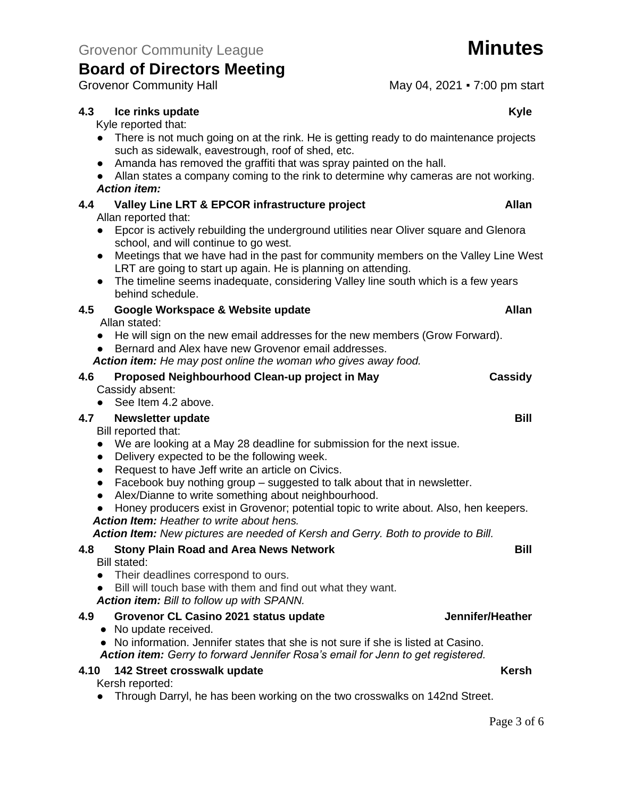### **4.3 Ice rinks update Kyle**

Kyle reported that:

- There is not much going on at the rink. He is getting ready to do maintenance projects such as sidewalk, eavestrough, roof of shed, etc.
- Amanda has removed the graffiti that was spray painted on the hall.
- Allan states a company coming to the rink to determine why cameras are not working. *Action item:*

# **4.4 Valley Line LRT & EPCOR infrastructure project Allan**

Allan reported that:

- Epcor is actively rebuilding the underground utilities near Oliver square and Glenora school, and will continue to go west.
- Meetings that we have had in the past for community members on the Valley Line West LRT are going to start up again. He is planning on attending.
- The timeline seems inadequate, considering Valley line south which is a few years behind schedule.

### **4.5 Google Workspace & Website update Allan**

Allan stated:

- He will sign on the new email addresses for the new members (Grow Forward).
- Bernard and Alex have new Grovenor email addresses.
- *Action item: He may post online the woman who gives away food.*

# **4.6 Proposed Neighbourhood Clean-up project in May Cassidy**

Cassidy absent:

● See Item 4.2 above.

### **4.7 Newsletter update Bill**

Bill reported that:

- We are looking at a May 28 deadline for submission for the next issue.
- Delivery expected to be the following week.
- Request to have Jeff write an article on Civics.
- Facebook buy nothing group suggested to talk about that in newsletter.
- Alex/Dianne to write something about neighbourhood.
- Honey producers exist in Grovenor; potential topic to write about. Also, hen keepers. *Action Item: Heather to write about hens.*

*Action Item: New pictures are needed of Kersh and Gerry. Both to provide to Bill.*

### **4.8 Stony Plain Road and Area News Network Bill**

Bill stated:

- Their deadlines correspond to ours.
- Bill will touch base with them and find out what they want.

*Action item: Bill to follow up with SPANN.*

### **4.9 Grovenor CL Casino 2021 status update Jennifer/Heather**

● No update received.

● No information. Jennifer states that she is not sure if she is listed at Casino. *Action item: Gerry to forward Jennifer Rosa's email for Jenn to get registered.*

### **4.10 142 Street crosswalk update Kersh**

Kersh reported:

● Through Darryl, he has been working on the two crosswalks on 142nd Street.

Grovenor Community Hall May 04, 2021 • 7:00 pm start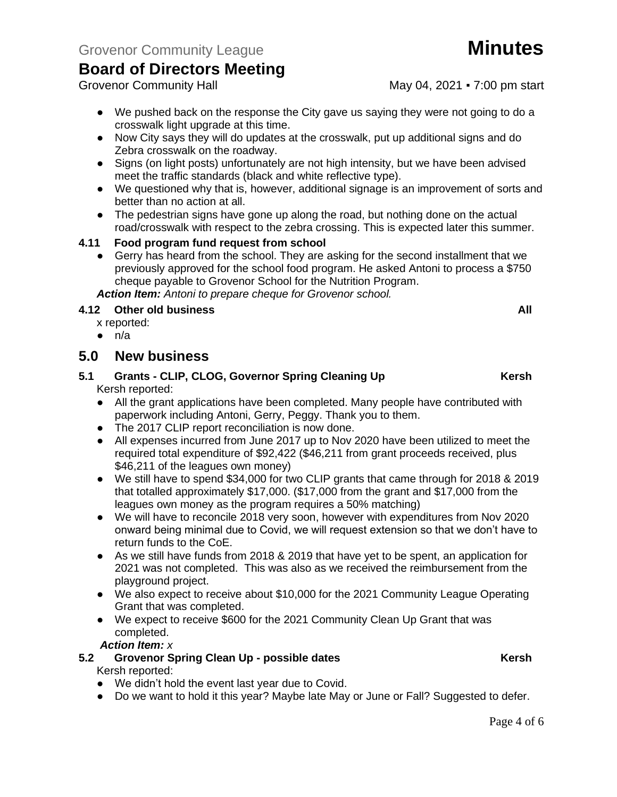Grovenor Community Hall May 04, 2021 • 7:00 pm start

- We pushed back on the response the City gave us saying they were not going to do a crosswalk light upgrade at this time.
- Now City says they will do updates at the crosswalk, put up additional signs and do Zebra crosswalk on the roadway.
- Signs (on light posts) unfortunately are not high intensity, but we have been advised meet the traffic standards (black and white reflective type).
- We questioned why that is, however, additional signage is an improvement of sorts and better than no action at all.
- The pedestrian signs have gone up along the road, but nothing done on the actual road/crosswalk with respect to the zebra crossing. This is expected later this summer.

### **4.11 Food program fund request from school**

● Gerry has heard from the school. They are asking for the second installment that we previously approved for the school food program. He asked Antoni to process a \$750 cheque payable to Grovenor School for the Nutrition Program.

*Action Item: Antoni to prepare cheque for Grovenor school.*

### **4.12 Other old business All**

x reported:

 $\bullet$  n/a

### **5.0 New business**

### **5.1 Grants - CLIP, CLOG, Governor Spring Cleaning Up Kersh** Kersh reported:

- All the grant applications have been completed. Many people have contributed with paperwork including Antoni, Gerry, Peggy. Thank you to them.
- The 2017 CLIP report reconciliation is now done.
- All expenses incurred from June 2017 up to Nov 2020 have been utilized to meet the required total expenditure of \$92,422 (\$46,211 from grant proceeds received, plus \$46,211 of the leagues own money)
- We still have to spend \$34,000 for two CLIP grants that came through for 2018 & 2019 that totalled approximately \$17,000. (\$17,000 from the grant and \$17,000 from the leagues own money as the program requires a 50% matching)
- We will have to reconcile 2018 very soon, however with expenditures from Nov 2020 onward being minimal due to Covid, we will request extension so that we don't have to return funds to the CoE.
- As we still have funds from 2018 & 2019 that have yet to be spent, an application for 2021 was not completed. This was also as we received the reimbursement from the playground project.
- We also expect to receive about \$10,000 for the 2021 Community League Operating Grant that was completed.
- We expect to receive \$600 for the 2021 Community Clean Up Grant that was completed.

*Action Item: x*

### **5.2 • Grovenor Spring Clean Up - possible dates Kersh** Kersh Kersh reported:

- We didn't hold the event last year due to Covid.
- Do we want to hold it this year? Maybe late May or June or Fall? Suggested to defer.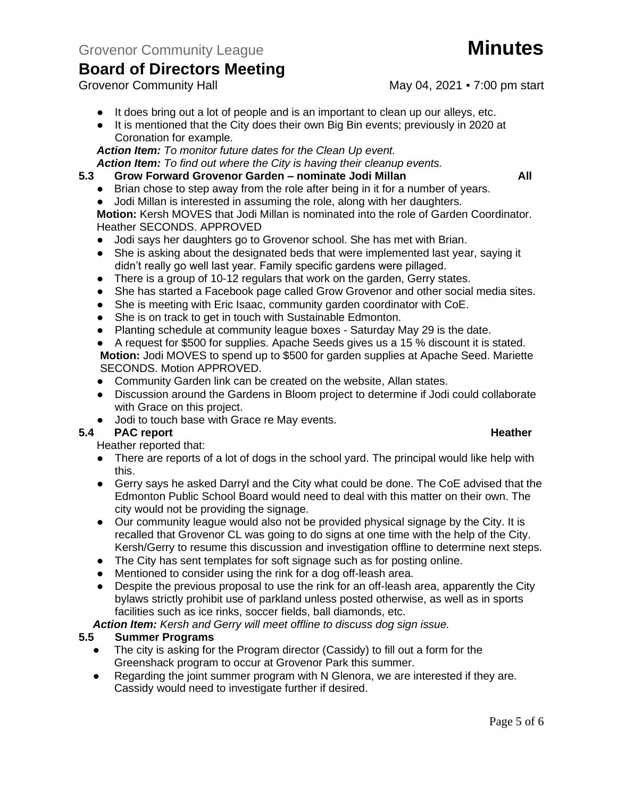Grovenor Community Hall May 04, 2021 • 7:00 pm start

- It does bring out a lot of people and is an important to clean up our alleys, etc.
- It is mentioned that the City does their own Big Bin events; previously in 2020 at Coronation for example.

*Action Item: To monitor future dates for the Clean Up event.*

*Action Item: To find out where the City is having their cleanup events.*

### **5.3 Grow Forward Grovenor Garden – nominate Jodi Millan All**

- Brian chose to step away from the role after being in it for a number of years.
- Jodi Millan is interested in assuming the role, along with her daughters.

**Motion:** Kersh MOVES that Jodi Millan is nominated into the role of Garden Coordinator. Heather SECONDS. APPROVED

- Jodi says her daughters go to Grovenor school. She has met with Brian.
- She is asking about the designated beds that were implemented last year, saying it didn't really go well last year. Family specific gardens were pillaged.
- There is a group of 10-12 regulars that work on the garden, Gerry states.
- She has started a Facebook page called Grow Grovenor and other social media sites.
- She is meeting with Eric Isaac, community garden coordinator with CoE.
- She is on track to get in touch with Sustainable Edmonton.
- Planting schedule at community league boxes Saturday May 29 is the date.

● A request for \$500 for supplies. Apache Seeds gives us a 15 % discount it is stated. **Motion:** Jodi MOVES to spend up to \$500 for garden supplies at Apache Seed. Mariette SECONDS. Motion APPROVED.

- Community Garden link can be created on the website, Allan states.
- Discussion around the Gardens in Bloom project to determine if Jodi could collaborate with Grace on this project.
- Jodi to touch base with Grace re May events.<br>5.4 PAC report

### **FAC report 6.4 PAC report 1.4 PAC report**

Heather reported that:

- There are reports of a lot of dogs in the school yard. The principal would like help with this.
- Gerry says he asked Darryl and the City what could be done. The CoE advised that the Edmonton Public School Board would need to deal with this matter on their own. The city would not be providing the signage.
- Our community league would also not be provided physical signage by the City. It is recalled that Grovenor CL was going to do signs at one time with the help of the City. Kersh/Gerry to resume this discussion and investigation offline to determine next steps.
- The City has sent templates for soft signage such as for posting online.
- Mentioned to consider using the rink for a dog off-leash area.
- Despite the previous proposal to use the rink for an off-leash area, apparently the City bylaws strictly prohibit use of parkland unless posted otherwise, as well as in sports facilities such as ice rinks, soccer fields, ball diamonds, etc.

*Action Item: Kersh and Gerry will meet offline to discuss dog sign issue.* 

### **5.5 Summer Programs**

- The city is asking for the Program director (Cassidy) to fill out a form for the Greenshack program to occur at Grovenor Park this summer.
- Regarding the joint summer program with N Glenora, we are interested if they are. Cassidy would need to investigate further if desired.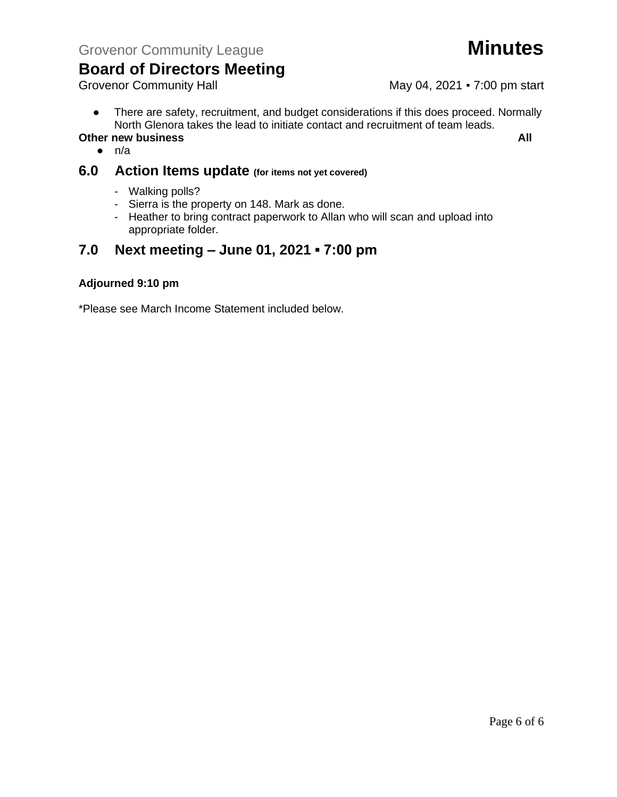# **Board of Directors Meeting**<br>Grovenor Community Hall

May 04, 2021 • 7:00 pm start

● There are safety, recruitment, and budget considerations if this does proceed. Normally North Glenora takes the lead to initiate contact and recruitment of team leads.

### **Other new business All**

 $\bullet$  n/a

### **6.0 Action Items update (for items not yet covered)**

- Walking polls?
- Sierra is the property on 148. Mark as done.
- Heather to bring contract paperwork to Allan who will scan and upload into appropriate folder.

### **7.0 Next meeting – June 01, 2021 ▪ 7:00 pm**

### **Adjourned 9:10 pm**

\*Please see March Income Statement included below.